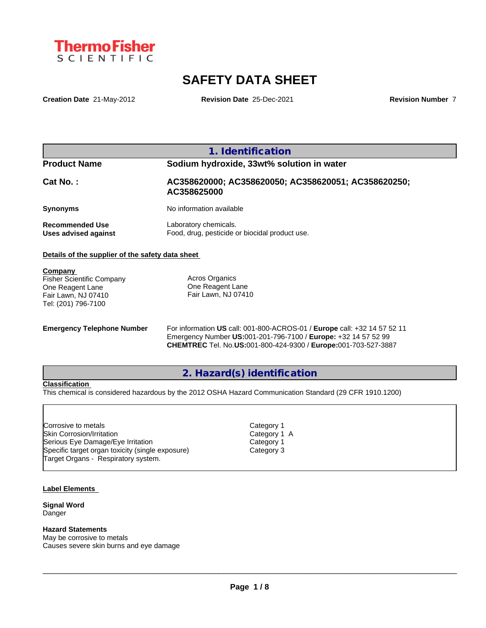

# **SAFETY DATA SHEET**

**Creation Date** 21-May-2012 **Revision Date** 25-Dec-2021 **Revision Number** 7

**1. Identification**

# **Product Name Sodium hydroxide, 33wt% solution in water**

**Cat No. : AC358620000; AC358620050; AC358620051; AC358620250; AC358625000**

**Synonyms** No information available

**Recommended Use** Laboratory chemicals.

**Uses advised against** Food, drug, pesticide or biocidal product use.

#### **Details of the supplier of the safety data sheet**

**Company** 

Fisher Scientific Company One Reagent Lane Fair Lawn, NJ 07410 Tel: (201) 796-7100

Acros Organics One Reagent Lane Fair Lawn, NJ 07410

**Emergency Telephone Number** For information **US** call: 001-800-ACROS-01 / **Europe** call: +32 14 57 52 11 Emergency Number **US:**001-201-796-7100 / **Europe:** +32 14 57 52 99 **CHEMTREC** Tel. No.**US:**001-800-424-9300 / **Europe:**001-703-527-3887

**2. Hazard(s) identification**

#### **Classification**

This chemical is considered hazardous by the 2012 OSHA Hazard Communication Standard (29 CFR 1910.1200)

Skin Corrosion/Irritation **Category 1 A** Serious Eye Damage/Eye Irritation Category 1 Specific target organ toxicity (single exposure) Category 3 Corrosive to metals<br>Skin Corrosion/Irritation<br>Serious Eye Damage/Eye Irritation<br>Specific target organ toxicity (single exposure)<br>Target Organs - Respiratory system.

Category 1

#### **Label Elements**

**Signal Word** Danger

#### **Hazard Statements**

May be corrosive to metals Causes severe skin burns and eye damage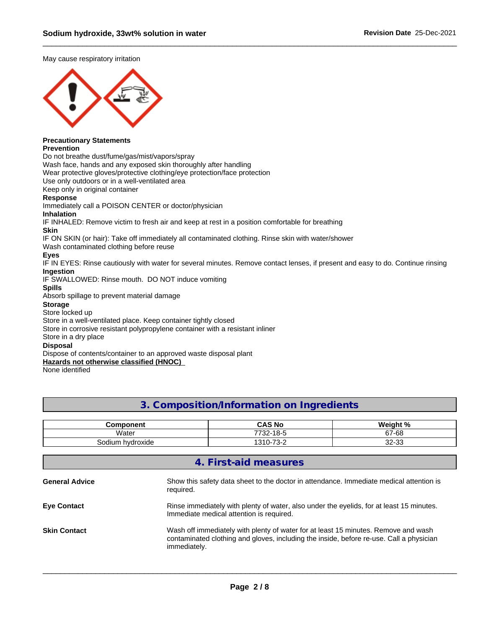May cause respiratory irritation



## **Precautionary Statements**

#### **Prevention**

Do not breathe dust/fume/gas/mist/vapors/spray

Wash face, hands and any exposed skin thoroughly after handling

Wear protective gloves/protective clothing/eye protection/face protection

Use only outdoors or in a well-ventilated area

Keep only in original container

#### **Response**

Immediately call a POISON CENTER or doctor/physician

### **Inhalation**

IF INHALED: Remove victim to fresh air and keep at rest in a position comfortable for breathing

#### **Skin**

IF ON SKIN (or hair): Take off immediately all contaminated clothing. Rinse skin with water/shower

Wash contaminated clothing before reuse

#### **Eyes**

IF IN EYES: Rinse cautiously with water for several minutes. Remove contact lenses, if present and easy to do. Continue rinsing **Ingestion**

IF SWALLOWED: Rinse mouth. DO NOT induce vomiting

#### **Spills**

Absorb spillage to prevent material damage

## **Storage**

#### Store locked up

Store in a well-ventilated place. Keep container tightly closed

Store in corrosive resistant polypropylene container with a resistant inliner

Store in a dry place

#### **Disposal**

Dispose of contents/container to an approved waste disposal plant

**Hazards not otherwise classified (HNOC)**

None identified

# **3. Composition/Information on Ingredients**

| Component                                | <b>CAS No</b>                                | Wainht %      |
|------------------------------------------|----------------------------------------------|---------------|
| Water                                    | $18 - 5$<br>770c<br>∙∠ت                      | 67-68         |
| hvdroxide<br>$\sim$<br>ulum.<br>ouu<br>. | $\overline{\phantom{a}}$<br>$310 -$<br>ے-د ، | 0000<br>دد-∠د |

| 4. First-aid measures |                                                                                                                                                                                               |  |  |
|-----------------------|-----------------------------------------------------------------------------------------------------------------------------------------------------------------------------------------------|--|--|
| <b>General Advice</b> | Show this safety data sheet to the doctor in attendance. Immediate medical attention is<br>required.                                                                                          |  |  |
| <b>Eye Contact</b>    | Rinse immediately with plenty of water, also under the eyelids, for at least 15 minutes.<br>Immediate medical attention is required.                                                          |  |  |
| <b>Skin Contact</b>   | Wash off immediately with plenty of water for at least 15 minutes. Remove and wash<br>contaminated clothing and gloves, including the inside, before re-use. Call a physician<br>immediately. |  |  |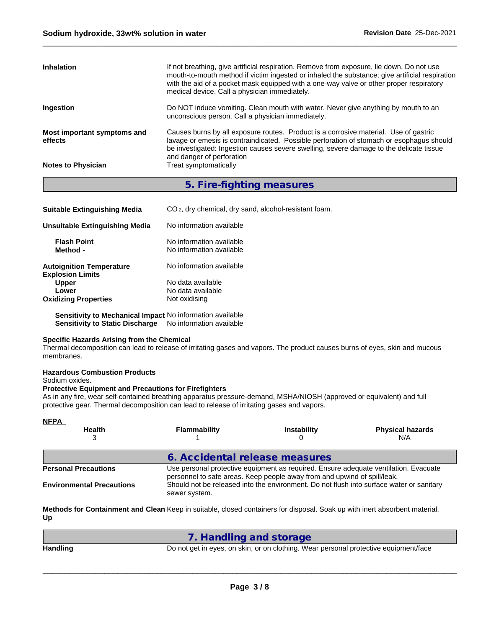| <b>Inhalation</b>                      | If not breathing, give artificial respiration. Remove from exposure, lie down. Do not use<br>mouth-to-mouth method if victim ingested or inhaled the substance; give artificial respiration<br>with the aid of a pocket mask equipped with a one-way valve or other proper respiratory<br>medical device. Call a physician immediately. |
|----------------------------------------|-----------------------------------------------------------------------------------------------------------------------------------------------------------------------------------------------------------------------------------------------------------------------------------------------------------------------------------------|
| <b>Ingestion</b>                       | Do NOT induce vomiting. Clean mouth with water. Never give anything by mouth to an<br>unconscious person. Call a physician immediately.                                                                                                                                                                                                 |
| Most important symptoms and<br>effects | Causes burns by all exposure routes. Product is a corrosive material. Use of gastric<br>lavage or emesis is contraindicated. Possible perforation of stomach or esophagus should<br>be investigated: Ingestion causes severe swelling, severe damage to the delicate tissue<br>and danger of perforation                                |
| <b>Notes to Physician</b>              | Treat symptomatically                                                                                                                                                                                                                                                                                                                   |
|                                        |                                                                                                                                                                                                                                                                                                                                         |

**5. Fire-fighting measures**

| <b>Suitable Extinguishing Media</b>                        | CO <sub>2</sub> , dry chemical, dry sand, alcohol-resistant foam. |
|------------------------------------------------------------|-------------------------------------------------------------------|
| Unsuitable Extinguishing Media                             | No information available                                          |
| <b>Flash Point</b><br>Method -                             | No information available<br>No information available              |
| <b>Autoignition Temperature</b><br><b>Explosion Limits</b> | No information available                                          |
| <b>Upper</b>                                               | No data available                                                 |
| Lower                                                      | No data available                                                 |
| <b>Oxidizing Properties</b>                                | Not oxidising                                                     |

**Sensitivity to Mechanical Impact** No information available **Sensitivity to Static Discharge** No information available

#### **Specific Hazards Arising from the Chemical**

Thermal decomposition can lead to release of irritating gases and vapors. The product causes burns of eyes, skin and mucous membranes.

### **Hazardous Combustion Products**

Sodium oxides.

#### **Protective Equipment and Precautions for Firefighters**

As in any fire, wear self-contained breathing apparatus pressure-demand, MSHA/NIOSH (approved or equivalent) and full protective gear. Thermal decomposition can lead to release of irritating gases and vapors.

| <b>NFPA</b>                      |                                                                                                                                                                  |                                                                                          |                                |  |  |
|----------------------------------|------------------------------------------------------------------------------------------------------------------------------------------------------------------|------------------------------------------------------------------------------------------|--------------------------------|--|--|
| <b>Health</b>                    | <b>Flammability</b>                                                                                                                                              | <b>Instability</b>                                                                       | <b>Physical hazards</b><br>N/A |  |  |
|                                  |                                                                                                                                                                  | 6. Accidental release measures                                                           |                                |  |  |
| <b>Personal Precautions</b>      | Use personal protective equipment as required. Ensure adequate ventilation. Evacuate<br>personnel to safe areas. Keep people away from and upwind of spill/leak. |                                                                                          |                                |  |  |
| <b>Environmental Precautions</b> | sewer system.                                                                                                                                                    | Should not be released into the environment. Do not flush into surface water or sanitary |                                |  |  |

**Methods for Containment and Clean Keep in suitable, closed containers for disposal. Soak up with inert absorbent material. Up**

|                 | 1. Handling and storage                                                              |
|-----------------|--------------------------------------------------------------------------------------|
| <b>Handling</b> | Do not get in eyes, on skin, or on clothing. Wear personal protective equipment/face |
|                 |                                                                                      |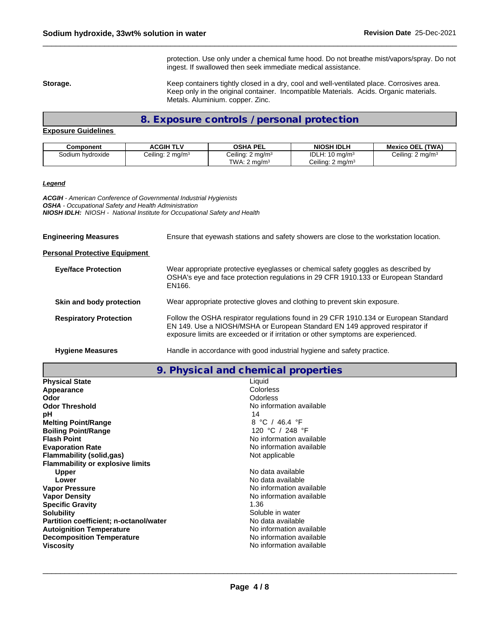protection. Use only under a chemical fume hood. Do not breathe mist/vapors/spray. Do not ingest. If swallowed then seek immediate medical assistance.

Storage. **Storage. Keep containers tightly closed in a dry, cool and well-ventilated place. Corrosives area.** Keep only in the original container. Incompatible Materials. Acids. Organic materials. Metals. Aluminium. copper. Zinc.

**8. Exposure controls / personal protection**

#### **Exposure Guidelines**

| Component        | <b>ACGIH TLV</b>            | OSHA PEL                    | <b>NIOSH IDLH</b>            | <b>Mexico OEL (TWA)</b>      |
|------------------|-----------------------------|-----------------------------|------------------------------|------------------------------|
| Sodium hvdroxide | Ceiling: $2 \text{ mg/m}^3$ | Ceiling: $2 \text{ mg/m}^3$ | IDLH: $10 \text{ mg/m}^3$    | Ceiling: 2 mg/m <sup>3</sup> |
|                  |                             | TWA: $2 \text{ ma/m}^3$     | Ceiling: 2 mg/m <sup>3</sup> |                              |

#### *Legend*

*ACGIH - American Conference of Governmental Industrial Hygienists OSHA - Occupational Safety and Health Administration NIOSH IDLH: NIOSH - National Institute for Occupational Safety and Health*

| <b>Engineering Measures</b>          | Ensure that eyewash stations and safety showers are close to the workstation location.                                                                                                                                                                  |
|--------------------------------------|---------------------------------------------------------------------------------------------------------------------------------------------------------------------------------------------------------------------------------------------------------|
| <b>Personal Protective Equipment</b> |                                                                                                                                                                                                                                                         |
| <b>Eye/face Protection</b>           | Wear appropriate protective eyeglasses or chemical safety goggles as described by<br>OSHA's eye and face protection regulations in 29 CFR 1910.133 or European Standard<br>EN166.                                                                       |
| Skin and body protection             | Wear appropriate protective gloves and clothing to prevent skin exposure.                                                                                                                                                                               |
| <b>Respiratory Protection</b>        | Follow the OSHA respirator regulations found in 29 CFR 1910.134 or European Standard<br>EN 149. Use a NIOSH/MSHA or European Standard EN 149 approved respirator if<br>exposure limits are exceeded or if irritation or other symptoms are experienced. |
| <b>Hygiene Measures</b>              | Handle in accordance with good industrial hygiene and safety practice.                                                                                                                                                                                  |

**9. Physical and chemical properties**

| <b>Physical State</b>                   | Liquid                   |
|-----------------------------------------|--------------------------|
| Appearance                              | Colorless                |
| Odor                                    | Odorless                 |
| <b>Odor Threshold</b>                   | No information available |
| рH                                      | 14                       |
| <b>Melting Point/Range</b>              | 8 °C / 46.4 °F           |
| <b>Boiling Point/Range</b>              | 120 °C / 248 °F          |
| <b>Flash Point</b>                      | No information available |
| <b>Evaporation Rate</b>                 | No information available |
| <b>Flammability (solid,gas)</b>         | Not applicable           |
| <b>Flammability or explosive limits</b> |                          |
| <b>Upper</b>                            | No data available        |
| Lower                                   | No data available        |
| <b>Vapor Pressure</b>                   | No information available |
| <b>Vapor Density</b>                    | No information available |
| <b>Specific Gravity</b>                 | 1.36                     |
| <b>Solubility</b>                       | Soluble in water         |
| Partition coefficient; n-octanol/water  | No data available        |
| <b>Autoignition Temperature</b>         | No information available |
| <b>Decomposition Temperature</b>        | No information available |
| <b>Viscosity</b>                        | No information available |
|                                         |                          |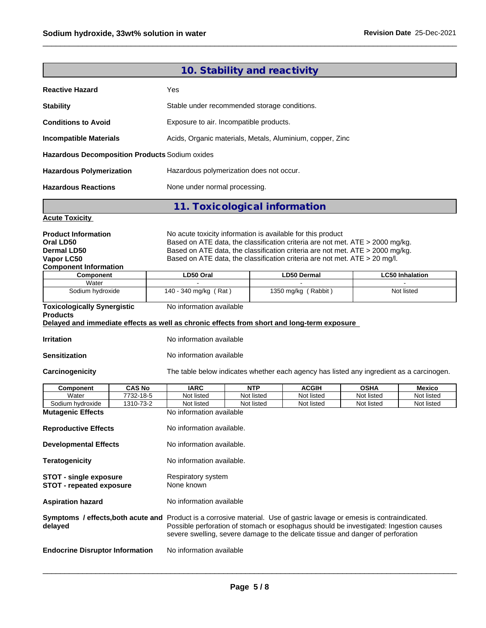|                                                                                                                                                                                                                                                                                                                                                                                                                            | 10. Stability and reactivity                                                                                                                                             |            |                     |             |                        |
|----------------------------------------------------------------------------------------------------------------------------------------------------------------------------------------------------------------------------------------------------------------------------------------------------------------------------------------------------------------------------------------------------------------------------|--------------------------------------------------------------------------------------------------------------------------------------------------------------------------|------------|---------------------|-------------|------------------------|
| <b>Reactive Hazard</b>                                                                                                                                                                                                                                                                                                                                                                                                     | Yes                                                                                                                                                                      |            |                     |             |                        |
| <b>Stability</b>                                                                                                                                                                                                                                                                                                                                                                                                           | Stable under recommended storage conditions.                                                                                                                             |            |                     |             |                        |
| <b>Conditions to Avoid</b>                                                                                                                                                                                                                                                                                                                                                                                                 | Exposure to air. Incompatible products.                                                                                                                                  |            |                     |             |                        |
| <b>Incompatible Materials</b>                                                                                                                                                                                                                                                                                                                                                                                              | Acids, Organic materials, Metals, Aluminium, copper, Zinc                                                                                                                |            |                     |             |                        |
| Hazardous Decomposition Products Sodium oxides                                                                                                                                                                                                                                                                                                                                                                             |                                                                                                                                                                          |            |                     |             |                        |
| <b>Hazardous Polymerization</b>                                                                                                                                                                                                                                                                                                                                                                                            | Hazardous polymerization does not occur.                                                                                                                                 |            |                     |             |                        |
| <b>Hazardous Reactions</b>                                                                                                                                                                                                                                                                                                                                                                                                 | None under normal processing.                                                                                                                                            |            |                     |             |                        |
|                                                                                                                                                                                                                                                                                                                                                                                                                            | 11. Toxicological information                                                                                                                                            |            |                     |             |                        |
| <b>Acute Toxicity</b>                                                                                                                                                                                                                                                                                                                                                                                                      |                                                                                                                                                                          |            |                     |             |                        |
| No acute toxicity information is available for this product<br><b>Product Information</b><br>Based on ATE data, the classification criteria are not met. ATE > 2000 mg/kg.<br>Oral LD50<br>Based on ATE data, the classification criteria are not met. ATE > 2000 mg/kg.<br><b>Dermal LD50</b><br>Based on ATE data, the classification criteria are not met. ATE > 20 mg/l.<br>Vapor LC50<br><b>Component Information</b> |                                                                                                                                                                          |            |                     |             |                        |
| Component<br>Water                                                                                                                                                                                                                                                                                                                                                                                                         | LD50 Oral                                                                                                                                                                |            | LD50 Dermal         |             | <b>LC50 Inhalation</b> |
| Sodium hydroxide                                                                                                                                                                                                                                                                                                                                                                                                           | 140 - 340 mg/kg (Rat)                                                                                                                                                    |            | 1350 mg/kg (Rabbit) |             | Not listed             |
| <b>Toxicologically Synergistic</b><br><b>Products</b>                                                                                                                                                                                                                                                                                                                                                                      | No information available                                                                                                                                                 |            |                     |             |                        |
| Delayed and immediate effects as well as chronic effects from short and long-term exposure                                                                                                                                                                                                                                                                                                                                 |                                                                                                                                                                          |            |                     |             |                        |
| <b>Irritation</b>                                                                                                                                                                                                                                                                                                                                                                                                          | No information available                                                                                                                                                 |            |                     |             |                        |
| <b>Sensitization</b>                                                                                                                                                                                                                                                                                                                                                                                                       | No information available                                                                                                                                                 |            |                     |             |                        |
| Carcinogenicity                                                                                                                                                                                                                                                                                                                                                                                                            | The table below indicates whether each agency has listed any ingredient as a carcinogen.                                                                                 |            |                     |             |                        |
| <b>CAS No</b><br><b>Component</b>                                                                                                                                                                                                                                                                                                                                                                                          | <b>IARC</b>                                                                                                                                                              | <b>NTP</b> | <b>ACGIH</b>        | <b>OSHA</b> | <b>Mexico</b>          |
| Water<br>7732-18-5                                                                                                                                                                                                                                                                                                                                                                                                         | Not listed                                                                                                                                                               | Not listed | Not listed          | Not listed  | Not listed             |
| Sodium hydroxide<br>1310-73-2                                                                                                                                                                                                                                                                                                                                                                                              | Not listed                                                                                                                                                               | Not listed | Not listed          | Not listed  | Not listed             |
| <b>Mutagenic Effects</b><br><b>Reproductive Effects</b>                                                                                                                                                                                                                                                                                                                                                                    | No information available<br>No information available.                                                                                                                    |            |                     |             |                        |
| <b>Developmental Effects</b>                                                                                                                                                                                                                                                                                                                                                                                               | No information available.                                                                                                                                                |            |                     |             |                        |
| <b>Teratogenicity</b>                                                                                                                                                                                                                                                                                                                                                                                                      | No information available.                                                                                                                                                |            |                     |             |                        |
| <b>STOT - single exposure</b><br><b>STOT - repeated exposure</b>                                                                                                                                                                                                                                                                                                                                                           | Respiratory system<br>None known                                                                                                                                         |            |                     |             |                        |
| <b>Aspiration hazard</b>                                                                                                                                                                                                                                                                                                                                                                                                   | No information available                                                                                                                                                 |            |                     |             |                        |
| Symptoms / effects, both acute and Product is a corrosive material. Use of gastric lavage or emesis is contraindicated.<br>delayed                                                                                                                                                                                                                                                                                         | Possible perforation of stomach or esophagus should be investigated: Ingestion causes<br>severe swelling, severe damage to the delicate tissue and danger of perforation |            |                     |             |                        |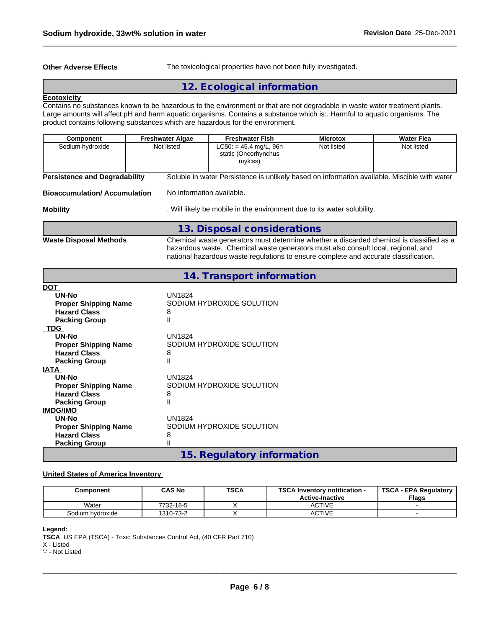**Other Adverse Effects** The toxicological properties have not been fully investigated.

# **12. Ecological information**

#### **Ecotoxicity**

Contains no substances known to be hazardous to the environment or that are not degradable in waste water treatment plants. Large amounts will affect pH and harm aquatic organisms. Contains a substance which is:. Harmful to aquatic organisms. The product contains following substances which are hazardous for the environment.

| <b>Component</b>                     | <b>Freshwater Algae</b>   | <b>Freshwater Fish</b>                                                                       | <b>Microtox</b> | <b>Water Flea</b> |
|--------------------------------------|---------------------------|----------------------------------------------------------------------------------------------|-----------------|-------------------|
| Sodium hydroxide                     | Not listed                | $LC50: = 45.4$ mg/L, 96h<br>static (Oncorhynchus<br>mykiss)                                  | Not listed      | Not listed        |
| <b>Persistence and Degradability</b> |                           | Soluble in water Persistence is unlikely based on information available. Miscible with water |                 |                   |
| <b>Bioaccumulation/Accumulation</b>  | No information available. |                                                                                              |                 |                   |
| <b>Mobility</b>                      |                           | . Will likely be mobile in the environment due to its water solubility.                      |                 |                   |
|                                      |                           | 13. Disposal considerations                                                                  |                 |                   |
| <b>Waste Disposal Methods</b>        |                           | Chemical waste generators must determine whether a discarded chemical is classified as a     |                 |                   |

hazardous waste. Chemical waste generators must also consult local, regional, and national hazardous waste regulations to ensure complete and accurate classification.

## **14. Transport information**

| <b>DOT</b>                  |                            |
|-----------------------------|----------------------------|
| UN-No                       | UN1824                     |
| <b>Proper Shipping Name</b> | SODIUM HYDROXIDE SOLUTION  |
| <b>Hazard Class</b>         | 8                          |
| <b>Packing Group</b>        | Ш                          |
| <b>TDG</b>                  |                            |
| UN-No                       | <b>UN1824</b>              |
| <b>Proper Shipping Name</b> | SODIUM HYDROXIDE SOLUTION  |
| <b>Hazard Class</b>         | 8                          |
| <b>Packing Group</b>        | Ш                          |
| <b>IATA</b>                 |                            |
| UN-No                       | <b>UN1824</b>              |
| <b>Proper Shipping Name</b> | SODIUM HYDROXIDE SOLUTION  |
| <b>Hazard Class</b>         | 8                          |
| <b>Packing Group</b>        | $\mathsf{II}$              |
| <b>IMDG/IMO</b>             |                            |
| <b>UN-No</b>                | <b>UN1824</b>              |
| <b>Proper Shipping Name</b> | SODIUM HYDROXIDE SOLUTION  |
| <b>Hazard Class</b>         | 8                          |
| <b>Packing Group</b>        | Ш                          |
|                             | 15. Regulatory information |
|                             |                            |

#### **United States of America Inventory**

| Component        | <b>CAS No</b> | <b>TSCA</b> | <b>TSCA Inventory notification -</b><br><b>Active-Inactive</b> | <b>TSCA - EPA Regulatory</b><br><b>Flags</b> |
|------------------|---------------|-------------|----------------------------------------------------------------|----------------------------------------------|
| Water            | 7732-18-5     |             | ACTIVE                                                         |                                              |
| Sodium hydroxide | 1310-73-2     |             | <b>ACTIVE</b>                                                  |                                              |

**Legend:**

**TSCA** US EPA (TSCA) - Toxic Substances Control Act, (40 CFR Part 710)

X - Listed

'-' - Not Listed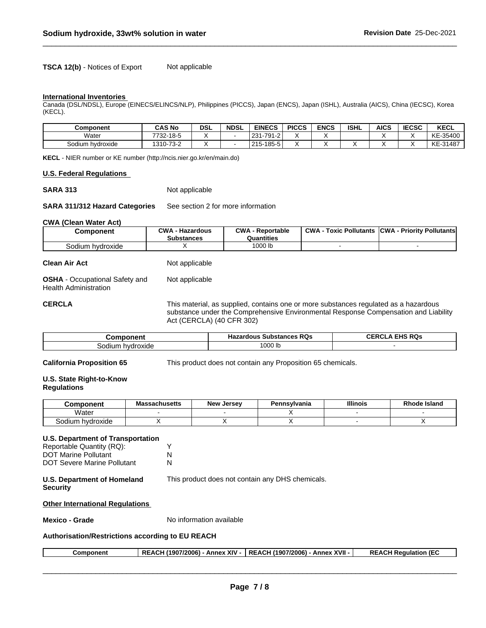**TSCA 12(b)** - Notices of Export Not applicable

#### **International Inventories**

Canada (DSL/NDSL), Europe (EINECS/ELINCS/NLP), Philippines (PICCS), Japan (ENCS), Japan (ISHL), Australia (AICS), China (IECSC), Korea (KECL).

| <b>Component</b> | <b>CAS No</b>           | dsl | <b>NDSL</b> | <b>EINECS</b>                           | <b>PICCS</b> | <b>ENCS</b> | <b>ISHL</b> | <b>AICS</b> | <b>IECSC</b> | <b>KECL</b> |
|------------------|-------------------------|-----|-------------|-----------------------------------------|--------------|-------------|-------------|-------------|--------------|-------------|
| Water            | 7700<br>-18-5<br>. 32-1 |     |             | -791<br>23 <sub>1</sub><br>$1-2$<br>∶دے |              |             |             |             |              | KE-35400    |
| Sodium hydroxide | 1310-73-2               |     |             | $185-5$<br>$215 -$                      |              |             |             |             |              | KE-31487    |

**KECL** - NIER number or KE number (http://ncis.nier.go.kr/en/main.do)

#### **U.S. Federal Regulations**

**SARA 313** Not applicable

**SARA 311/312 Hazard Categories** See section 2 for more information

#### **CWA** (Clean Water Act)

| Component            | CWA<br>- Hazardous<br><b>Substances</b> | CWA<br>- Reportable<br>Quantities | <b>CWA</b><br><b>Toxic Pollutants</b> | <b>ICWA</b><br>ا - Prioritv Pollutants |
|----------------------|-----------------------------------------|-----------------------------------|---------------------------------------|----------------------------------------|
| sodium.<br>hvdroxide |                                         | 1000 lb                           |                                       |                                        |

| Clean Air Act                                                  | Not applicable |
|----------------------------------------------------------------|----------------|
| <b>OSHA</b> - Occupational Safety and<br>Health Administration | Not applicable |

**CERCLA** This material, as supplied, contains one or more substances regulated as a hazardous substance under the Comprehensive Environmental Response Compensation and Liability Act (CERCLA) (40 CFR 302)

| Component        | <b>Substances RQs</b><br>Hazardous | FHS RQs<br>$\sim$ $\sim$<br>∿ER⊑<br>$\mathbf{r}$<br>the contract of the contract of the contract of |
|------------------|------------------------------------|-----------------------------------------------------------------------------------------------------|
| Sodium hvdroxide | '000 lb                            |                                                                                                     |

**California Proposition 65** This product does not contain any Proposition 65 chemicals.

#### **U.S. State Right-to-Know Regulations**

| .<br>IIGIR               | - -<br>eachucatt:<br>ма<br>аспозона | <b>New</b><br>larcay<br>$-100$ | nnsvlvania<br>ъ. | <b>Illinois</b> | Island |
|--------------------------|-------------------------------------|--------------------------------|------------------|-----------------|--------|
| .<br>Water               |                                     |                                |                  |                 |        |
| vdroxide<br>hv.<br>odium |                                     |                                |                  |                 |        |

| U.S. Department of Transportation                |                                                  |
|--------------------------------------------------|--------------------------------------------------|
| Reportable Quantity (RQ):                        | Y                                                |
| <b>DOT Marine Pollutant</b>                      | N                                                |
| DOT Severe Marine Pollutant                      | N                                                |
| <b>U.S. Department of Homeland</b><br>Security   | This product does not contain any DHS chemicals. |
| <b>Other International Requlations</b>           |                                                  |
| Mexico - Grade                                   | No information available                         |
| Authorisation/Restrictions according to EU REACH |                                                  |

| <b>XVII</b><br><b>Annex XIV</b><br>REACH (1907/2006) -<br><b>REACH F</b><br><b>REACH</b><br>1 (1907/2006)<br>Component<br>∣ Reɑulation<br>⊬Anne |
|-------------------------------------------------------------------------------------------------------------------------------------------------|
|-------------------------------------------------------------------------------------------------------------------------------------------------|